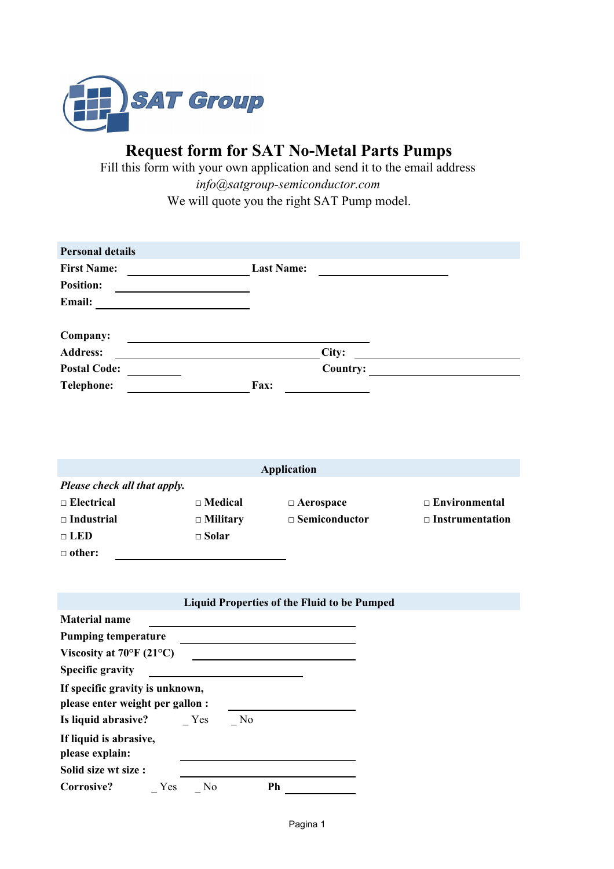

**Request form for SAT No-Metal Parts Pumps**

Fill this form with your own application and send it to the email address *info@satgroup-semiconductor.com* We will quote you the right SAT Pump model.

| <b>Personal details</b> |                   |  |
|-------------------------|-------------------|--|
| <b>First Name:</b>      | <b>Last Name:</b> |  |
| <b>Position:</b>        |                   |  |
| Email:                  |                   |  |
|                         |                   |  |
| Company:                |                   |  |
| <b>Address:</b>         | City:             |  |
| <b>Postal Code:</b>     | Country:          |  |
| <b>Telephone:</b>       | Fax:              |  |
|                         |                   |  |

| <b>Application</b>           |                 |                      |                        |  |  |  |
|------------------------------|-----------------|----------------------|------------------------|--|--|--|
| Please check all that apply. |                 |                      |                        |  |  |  |
| $\Box$ Electrical            | $\Box$ Medical  | $\Box$ Aerospace     | $\Box$ Environmental   |  |  |  |
| $\Box$ Industrial            | $\Box$ Military | $\Box$ Semiconductor | $\Box$ Instrumentation |  |  |  |
| $\sqcap$ LED                 | $\square$ Solar |                      |                        |  |  |  |
| $\Box$ other:                |                 |                      |                        |  |  |  |

|                                                                     |                |    |    | <b>Liquid Properties of the Fluid to be Pumped</b> |  |  |
|---------------------------------------------------------------------|----------------|----|----|----------------------------------------------------|--|--|
| <b>Material name</b>                                                |                |    |    |                                                    |  |  |
| <b>Pumping temperature</b>                                          |                |    |    |                                                    |  |  |
| Viscosity at $70^{\circ}$ F (21°C)                                  |                |    |    |                                                    |  |  |
| <b>Specific gravity</b>                                             |                |    |    |                                                    |  |  |
| If specific gravity is unknown,<br>please enter weight per gallon : |                |    |    |                                                    |  |  |
| Is liquid abrasive?                                                 | Yes            | No |    |                                                    |  |  |
| If liquid is abrasive,<br>please explain:                           |                |    |    |                                                    |  |  |
| Solid size wt size:                                                 |                |    |    |                                                    |  |  |
| Corrosive?<br>Yes                                                   | N <sub>0</sub> |    | Ph |                                                    |  |  |